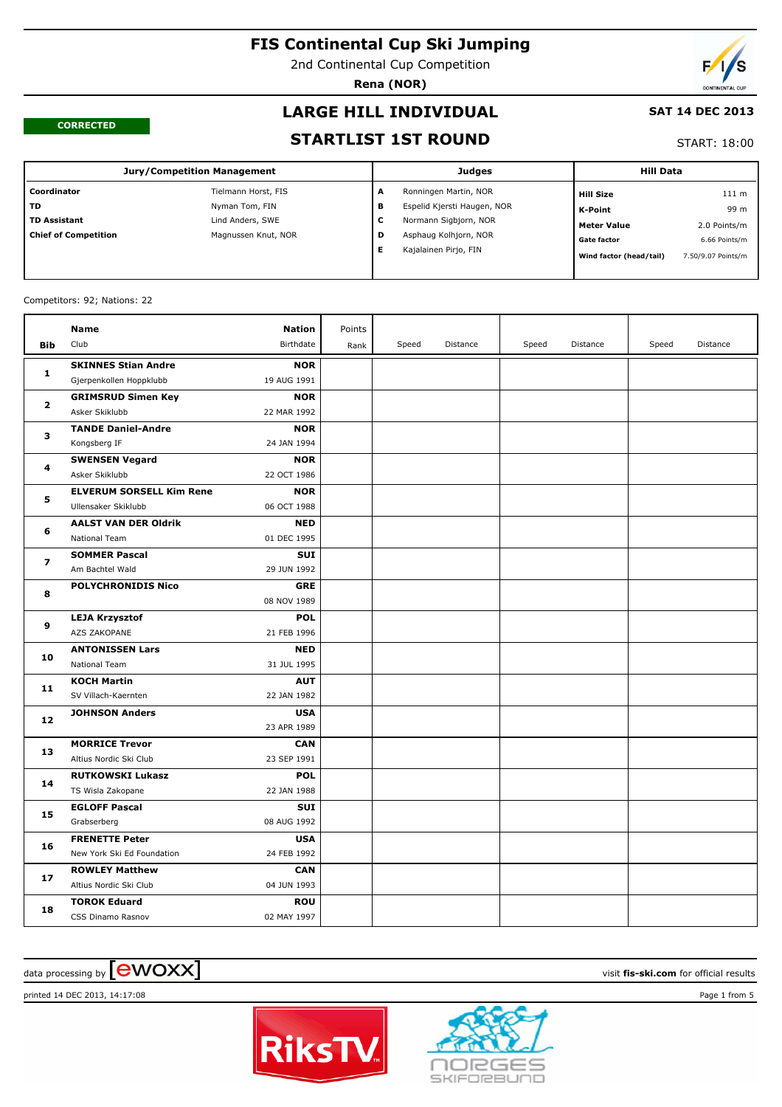2nd Continental Cup Competition

**Rena (NOR)**

#### **CORRECTED**

# **LARGE HILL INDIVIDUAL**

#### **SAT 14 DEC 2013**

#### **STARTLIST 1ST ROUND**

#### START: 18:00

| <b>Jury/Competition Management</b> |                     |   | <b>Judges</b>               | <b>Hill Data</b>        |                    |  |
|------------------------------------|---------------------|---|-----------------------------|-------------------------|--------------------|--|
| Coordinator                        | Tielmann Horst, FIS | A | Ronningen Martin, NOR       | <b>Hill Size</b>        | 111 m              |  |
| <b>TD</b>                          | Nyman Tom, FIN      | в | Espelid Kjersti Haugen, NOR | <b>K-Point</b>          | 99 m               |  |
| <b>TD Assistant</b>                | Lind Anders, SWE    | с | Normann Sigbjorn, NOR       | <b>Meter Value</b>      | 2.0 Points/m       |  |
| <b>Chief of Competition</b>        | Magnussen Knut, NOR | D | Asphaug Kolhjorn, NOR       | <b>Gate factor</b>      | 6.66 Points/m      |  |
|                                    |                     | Е | Kajalainen Pirjo, FIN       | Wind factor (head/tail) | 7.50/9.07 Points/m |  |

#### Competitors: 92; Nations: 22

|                         | <b>Name</b>                     | <b>Nation</b> | Points |       |          |       |          |       |          |
|-------------------------|---------------------------------|---------------|--------|-------|----------|-------|----------|-------|----------|
| <b>Bib</b>              | Club                            | Birthdate     | Rank   | Speed | Distance | Speed | Distance | Speed | Distance |
|                         | <b>SKINNES Stian Andre</b>      | <b>NOR</b>    |        |       |          |       |          |       |          |
| $\mathbf{1}$            | Gjerpenkollen Hoppklubb         | 19 AUG 1991   |        |       |          |       |          |       |          |
| 2                       | <b>GRIMSRUD Simen Key</b>       | <b>NOR</b>    |        |       |          |       |          |       |          |
|                         | Asker Skiklubb                  | 22 MAR 1992   |        |       |          |       |          |       |          |
| з                       | <b>TANDE Daniel-Andre</b>       | <b>NOR</b>    |        |       |          |       |          |       |          |
|                         | Kongsberg IF                    | 24 JAN 1994   |        |       |          |       |          |       |          |
| 4                       | <b>SWENSEN Vegard</b>           | <b>NOR</b>    |        |       |          |       |          |       |          |
|                         | Asker Skiklubb                  | 22 OCT 1986   |        |       |          |       |          |       |          |
| 5                       | <b>ELVERUM SORSELL Kim Rene</b> | <b>NOR</b>    |        |       |          |       |          |       |          |
|                         | Ullensaker Skiklubb             | 06 OCT 1988   |        |       |          |       |          |       |          |
| 6                       | <b>AALST VAN DER Oldrik</b>     | <b>NED</b>    |        |       |          |       |          |       |          |
|                         | National Team                   | 01 DEC 1995   |        |       |          |       |          |       |          |
| $\overline{\mathbf{z}}$ | <b>SOMMER Pascal</b>            | <b>SUI</b>    |        |       |          |       |          |       |          |
|                         | Am Bachtel Wald                 | 29 JUN 1992   |        |       |          |       |          |       |          |
| 8                       | <b>POLYCHRONIDIS Nico</b>       | <b>GRE</b>    |        |       |          |       |          |       |          |
|                         |                                 | 08 NOV 1989   |        |       |          |       |          |       |          |
| 9                       | <b>LEJA Krzysztof</b>           | <b>POL</b>    |        |       |          |       |          |       |          |
|                         | AZS ZAKOPANE                    | 21 FEB 1996   |        |       |          |       |          |       |          |
| 10                      | <b>ANTONISSEN Lars</b>          | <b>NED</b>    |        |       |          |       |          |       |          |
|                         | National Team                   | 31 JUL 1995   |        |       |          |       |          |       |          |
| 11                      | <b>KOCH Martin</b>              | <b>AUT</b>    |        |       |          |       |          |       |          |
|                         | SV Villach-Kaernten             | 22 JAN 1982   |        |       |          |       |          |       |          |
| 12                      | <b>JOHNSON Anders</b>           | <b>USA</b>    |        |       |          |       |          |       |          |
|                         |                                 | 23 APR 1989   |        |       |          |       |          |       |          |
| 13                      | <b>MORRICE Trevor</b>           | <b>CAN</b>    |        |       |          |       |          |       |          |
|                         | Altius Nordic Ski Club          | 23 SEP 1991   |        |       |          |       |          |       |          |
| 14                      | <b>RUTKOWSKI Lukasz</b>         | POL           |        |       |          |       |          |       |          |
|                         | TS Wisla Zakopane               | 22 JAN 1988   |        |       |          |       |          |       |          |
| 15                      | <b>EGLOFF Pascal</b>            | <b>SUI</b>    |        |       |          |       |          |       |          |
|                         | Grabserberg                     | 08 AUG 1992   |        |       |          |       |          |       |          |
| 16                      | <b>FRENETTE Peter</b>           | <b>USA</b>    |        |       |          |       |          |       |          |
|                         | New York Ski Ed Foundation      | 24 FEB 1992   |        |       |          |       |          |       |          |
| 17                      | <b>ROWLEY Matthew</b>           | <b>CAN</b>    |        |       |          |       |          |       |          |
|                         | Altius Nordic Ski Club          | 04 JUN 1993   |        |       |          |       |          |       |          |
| 18                      | <b>TOROK Eduard</b>             | <b>ROU</b>    |        |       |          |       |          |       |          |
|                         | CSS Dinamo Rasnov               | 02 MAY 1997   |        |       |          |       |          |       |          |

# $\alpha$  data processing by  $\boxed{\text{ewOX}}$

printed 14 DEC 2013, 14:17:08 Page 1 from 5



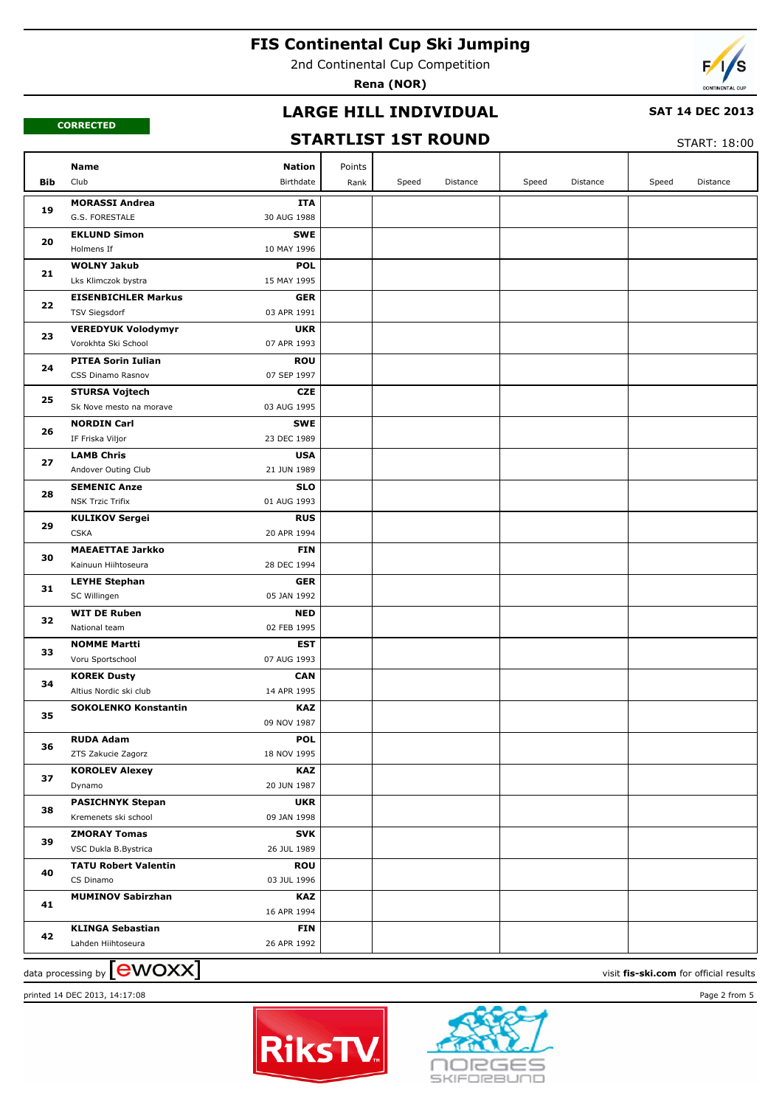2nd Continental Cup Competition

**Rena (NOR)**



#### **CORRECTED**

### **LARGE HILL INDIVIDUAL**

#### **SAT 14 DEC 2013**

### **STARTLIST 1ST ROUND**

START: 18:00

|            | <b>Nation</b><br>Name                                                         | Points |       |          |       |          |       |          |
|------------|-------------------------------------------------------------------------------|--------|-------|----------|-------|----------|-------|----------|
| <b>Bib</b> | Club<br>Birthdate                                                             | Rank   | Speed | Distance | Speed | Distance | Speed | Distance |
| 19         | <b>MORASSI Andrea</b><br><b>ITA</b>                                           |        |       |          |       |          |       |          |
|            | G.S. FORESTALE<br>30 AUG 1988                                                 |        |       |          |       |          |       |          |
| 20         | <b>EKLUND Simon</b><br><b>SWE</b>                                             |        |       |          |       |          |       |          |
|            | Holmens If<br>10 MAY 1996                                                     |        |       |          |       |          |       |          |
| 21         | <b>WOLNY Jakub</b><br><b>POL</b>                                              |        |       |          |       |          |       |          |
|            | 15 MAY 1995<br>Lks Klimczok bystra                                            |        |       |          |       |          |       |          |
| 22         | <b>EISENBICHLER Markus</b><br><b>GER</b>                                      |        |       |          |       |          |       |          |
|            | 03 APR 1991<br><b>TSV Siegsdorf</b>                                           |        |       |          |       |          |       |          |
| 23         | <b>UKR</b><br><b>VEREDYUK Volodymyr</b>                                       |        |       |          |       |          |       |          |
|            | 07 APR 1993<br>Vorokhta Ski School                                            |        |       |          |       |          |       |          |
| 24         | <b>PITEA Sorin Iulian</b><br><b>ROU</b>                                       |        |       |          |       |          |       |          |
|            | 07 SEP 1997<br>CSS Dinamo Rasnov                                              |        |       |          |       |          |       |          |
| 25         | <b>STURSA Vojtech</b><br><b>CZE</b><br>03 AUG 1995<br>Sk Nove mesto na morave |        |       |          |       |          |       |          |
|            | <b>SWE</b>                                                                    |        |       |          |       |          |       |          |
| 26         | <b>NORDIN Carl</b><br>23 DEC 1989<br>IF Friska Viljor                         |        |       |          |       |          |       |          |
|            | <b>LAMB Chris</b><br><b>USA</b>                                               |        |       |          |       |          |       |          |
| 27         | 21 JUN 1989<br>Andover Outing Club                                            |        |       |          |       |          |       |          |
|            | <b>SEMENIC Anze</b><br><b>SLO</b>                                             |        |       |          |       |          |       |          |
| 28         | 01 AUG 1993<br><b>NSK Trzic Trifix</b>                                        |        |       |          |       |          |       |          |
|            | <b>KULIKOV Sergei</b><br><b>RUS</b>                                           |        |       |          |       |          |       |          |
| 29         | <b>CSKA</b><br>20 APR 1994                                                    |        |       |          |       |          |       |          |
| 30         | <b>MAEAETTAE Jarkko</b><br><b>FIN</b>                                         |        |       |          |       |          |       |          |
|            | Kainuun Hiihtoseura<br>28 DEC 1994                                            |        |       |          |       |          |       |          |
|            | <b>LEYHE Stephan</b><br><b>GER</b>                                            |        |       |          |       |          |       |          |
| 31         | 05 JAN 1992<br>SC Willingen                                                   |        |       |          |       |          |       |          |
|            | <b>WIT DE Ruben</b><br><b>NED</b>                                             |        |       |          |       |          |       |          |
| 32         | 02 FEB 1995<br>National team                                                  |        |       |          |       |          |       |          |
| 33         | <b>NOMME Martti</b><br><b>EST</b>                                             |        |       |          |       |          |       |          |
|            | 07 AUG 1993<br>Voru Sportschool                                               |        |       |          |       |          |       |          |
| 34         | <b>KOREK Dusty</b><br><b>CAN</b>                                              |        |       |          |       |          |       |          |
|            | 14 APR 1995<br>Altius Nordic ski club                                         |        |       |          |       |          |       |          |
| 35         | <b>SOKOLENKO Konstantin</b><br><b>KAZ</b>                                     |        |       |          |       |          |       |          |
|            | 09 NOV 1987                                                                   |        |       |          |       |          |       |          |
| 36         | <b>RUDA Adam</b><br><b>POL</b>                                                |        |       |          |       |          |       |          |
|            | ZTS Zakucie Zagorz<br>18 NOV 1995                                             |        |       |          |       |          |       |          |
| 37         | <b>KOROLEV Alexey</b><br>KAZ                                                  |        |       |          |       |          |       |          |
|            | 20 JUN 1987<br>Dynamo                                                         |        |       |          |       |          |       |          |
| 38         | <b>PASICHNYK Stepan</b><br><b>UKR</b><br>Kremenets ski school<br>09 JAN 1998  |        |       |          |       |          |       |          |
|            | <b>ZMORAY Tomas</b><br><b>SVK</b>                                             |        |       |          |       |          |       |          |
| 39         | VSC Dukla B.Bystrica<br>26 JUL 1989                                           |        |       |          |       |          |       |          |
|            | <b>TATU Robert Valentin</b><br><b>ROU</b>                                     |        |       |          |       |          |       |          |
| 40         | CS Dinamo<br>03 JUL 1996                                                      |        |       |          |       |          |       |          |
|            | <b>MUMINOV Sabirzhan</b><br>KAZ                                               |        |       |          |       |          |       |          |
| 41         | 16 APR 1994                                                                   |        |       |          |       |          |       |          |
|            | <b>KLINGA Sebastian</b><br><b>FIN</b>                                         |        |       |          |       |          |       |          |
| 42         | 26 APR 1992<br>Lahden Hiihtoseura                                             |        |       |          |       |          |       |          |
|            |                                                                               |        |       |          |       |          |       |          |

data processing by **CWOXX** and  $\overline{C}$  and  $\overline{C}$  and  $\overline{C}$  and  $\overline{C}$  and  $\overline{C}$  and  $\overline{C}$  and  $\overline{C}$  and  $\overline{C}$  and  $\overline{C}$  and  $\overline{C}$  and  $\overline{C}$  and  $\overline{C}$  and  $\overline{C}$  and  $\overline{C}$  and  $\overline{C}$ 



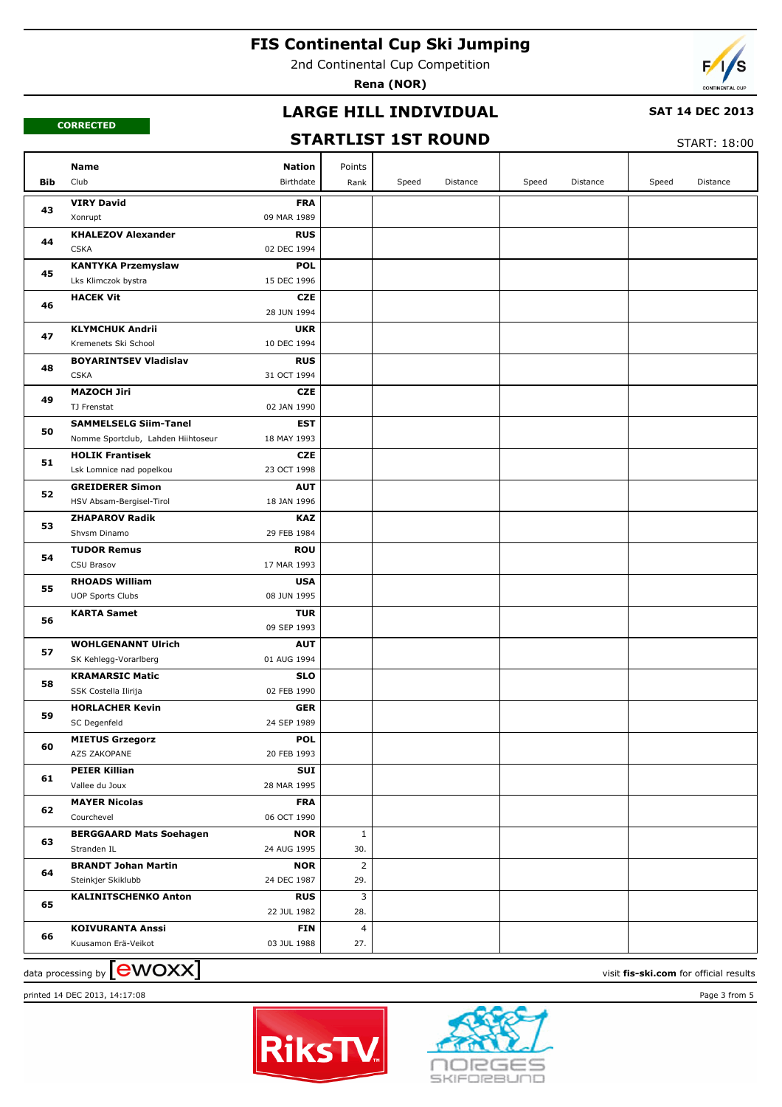2nd Continental Cup Competition

**Rena (NOR)**



**CORRECTED**

### **LARGE HILL INDIVIDUAL**

#### **SAT 14 DEC 2013**

# **STARTLIST 1ST ROUND**

START: 18:00

|     |                                                                                 |                |       |          |       |          |       | .        |
|-----|---------------------------------------------------------------------------------|----------------|-------|----------|-------|----------|-------|----------|
|     | Name<br>Nation                                                                  | Points         |       |          |       |          |       |          |
| Bib | Club<br>Birthdate                                                               | Rank           | Speed | Distance | Speed | Distance | Speed | Distance |
| 43  | <b>VIRY David</b><br><b>FRA</b>                                                 |                |       |          |       |          |       |          |
|     | Xonrupt<br>09 MAR 1989                                                          |                |       |          |       |          |       |          |
| 44  | <b>KHALEZOV Alexander</b><br><b>RUS</b>                                         |                |       |          |       |          |       |          |
|     | <b>CSKA</b><br>02 DEC 1994                                                      |                |       |          |       |          |       |          |
| 45  | <b>POL</b><br><b>KANTYKA Przemyslaw</b>                                         |                |       |          |       |          |       |          |
|     | Lks Klimczok bystra<br>15 DEC 1996                                              |                |       |          |       |          |       |          |
| 46  | <b>HACEK Vit</b><br><b>CZE</b>                                                  |                |       |          |       |          |       |          |
|     | 28 JUN 1994                                                                     |                |       |          |       |          |       |          |
| 47  | <b>KLYMCHUK Andrii</b><br><b>UKR</b><br>Kremenets Ski School<br>10 DEC 1994     |                |       |          |       |          |       |          |
|     | <b>RUS</b><br><b>BOYARINTSEV Vladislav</b>                                      |                |       |          |       |          |       |          |
| 48  | <b>CSKA</b><br>31 OCT 1994                                                      |                |       |          |       |          |       |          |
|     | <b>MAZOCH Jiri</b><br><b>CZE</b>                                                |                |       |          |       |          |       |          |
| 49  | TJ Frenstat<br>02 JAN 1990                                                      |                |       |          |       |          |       |          |
|     | <b>SAMMELSELG Siim-Tanel</b><br>EST                                             |                |       |          |       |          |       |          |
| 50  | Nomme Sportclub, Lahden Hiihtoseur<br>18 MAY 1993                               |                |       |          |       |          |       |          |
|     | <b>HOLIK Frantisek</b><br><b>CZE</b>                                            |                |       |          |       |          |       |          |
| 51  | Lsk Lomnice nad popelkou<br>23 OCT 1998                                         |                |       |          |       |          |       |          |
|     | <b>GREIDERER Simon</b><br><b>AUT</b>                                            |                |       |          |       |          |       |          |
| 52  | HSV Absam-Bergisel-Tirol<br>18 JAN 1996                                         |                |       |          |       |          |       |          |
| 53  | <b>ZHAPAROV Radik</b><br><b>KAZ</b>                                             |                |       |          |       |          |       |          |
|     | Shvsm Dinamo<br>29 FEB 1984                                                     |                |       |          |       |          |       |          |
| 54  | <b>ROU</b><br><b>TUDOR Remus</b>                                                |                |       |          |       |          |       |          |
|     | CSU Brasov<br>17 MAR 1993                                                       |                |       |          |       |          |       |          |
| 55  | <b>RHOADS William</b><br><b>USA</b>                                             |                |       |          |       |          |       |          |
|     | <b>UOP Sports Clubs</b><br>08 JUN 1995                                          |                |       |          |       |          |       |          |
| 56  | <b>KARTA Samet</b><br><b>TUR</b>                                                |                |       |          |       |          |       |          |
|     | 09 SEP 1993                                                                     |                |       |          |       |          |       |          |
| 57  | <b>WOHLGENANNT Ulrich</b><br><b>AUT</b><br>SK Kehlegg-Vorarlberg<br>01 AUG 1994 |                |       |          |       |          |       |          |
|     | <b>KRAMARSIC Matic</b><br><b>SLO</b>                                            |                |       |          |       |          |       |          |
| 58  | SSK Costella Ilirija<br>02 FEB 1990                                             |                |       |          |       |          |       |          |
|     | <b>HORLACHER Kevin</b><br><b>GER</b>                                            |                |       |          |       |          |       |          |
| 59  | SC Degenfeld<br>24 SEP 1989                                                     |                |       |          |       |          |       |          |
|     | <b>MIETUS Grzegorz</b><br><b>POL</b>                                            |                |       |          |       |          |       |          |
| 60  | AZS ZAKOPANE<br>20 FEB 1993                                                     |                |       |          |       |          |       |          |
|     | <b>PEIER Killian</b><br>SUI                                                     |                |       |          |       |          |       |          |
| 61  | 28 MAR 1995<br>Vallee du Joux                                                   |                |       |          |       |          |       |          |
| 62  | <b>MAYER Nicolas</b><br><b>FRA</b>                                              |                |       |          |       |          |       |          |
|     | 06 OCT 1990<br>Courchevel                                                       |                |       |          |       |          |       |          |
| 63  | <b>BERGGAARD Mats Soehagen</b><br><b>NOR</b>                                    | 1              |       |          |       |          |       |          |
|     | 24 AUG 1995<br>Stranden IL                                                      | 30.            |       |          |       |          |       |          |
| 64  | <b>BRANDT Johan Martin</b><br><b>NOR</b>                                        | $\overline{2}$ |       |          |       |          |       |          |
|     | Steinkjer Skiklubb<br>24 DEC 1987                                               | 29.            |       |          |       |          |       |          |
| 65  | <b>KALINITSCHENKO Anton</b><br><b>RUS</b>                                       | 3              |       |          |       |          |       |          |
|     | 22 JUL 1982                                                                     | 28.            |       |          |       |          |       |          |
| 66  | <b>KOIVURANTA Anssi</b><br>FIN                                                  | $\overline{4}$ |       |          |       |          |       |          |
|     | 03 JUL 1988<br>Kuusamon Erä-Veikot                                              | 27.            |       |          |       |          |       |          |

data processing by **CWOXX** and  $\overline{C}$  and  $\overline{C}$  and  $\overline{C}$  and  $\overline{C}$  and  $\overline{C}$  and  $\overline{C}$  and  $\overline{C}$  and  $\overline{C}$  and  $\overline{C}$  and  $\overline{C}$  and  $\overline{C}$  and  $\overline{C}$  and  $\overline{C}$  and  $\overline{C}$  and  $\overline{C}$  printed 14 DEC 2013, 14:17:08 Page 3 from 5



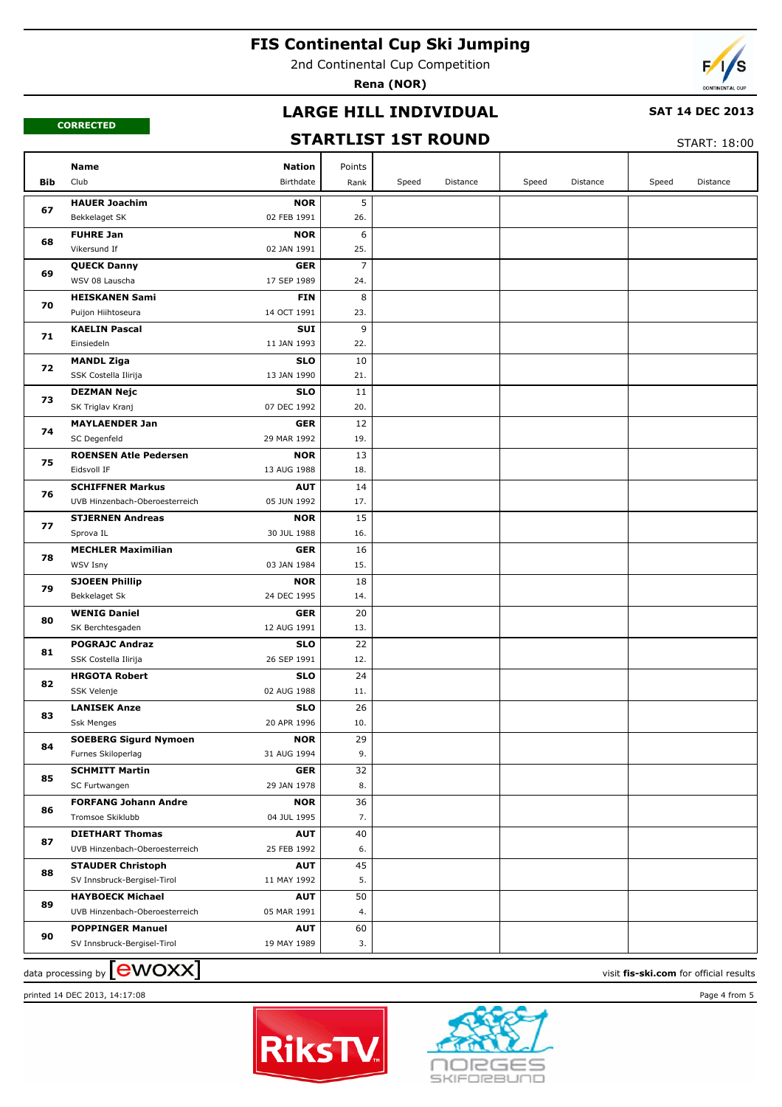2nd Continental Cup Competition

**Rena (NOR)**



#### **CORRECTED**

#### **LARGE HILL INDIVIDUAL**

#### **SAT 14 DEC 2013**

### **STARTLIST 1ST ROUND**

START: 18:00

|            | Name                           | <b>Nation</b> | Points          |       |          |       |          |       |          |
|------------|--------------------------------|---------------|-----------------|-------|----------|-------|----------|-------|----------|
| <b>Bib</b> | Club                           | Birthdate     | Rank            | Speed | Distance | Speed | Distance | Speed | Distance |
|            | <b>HAUER Joachim</b>           | <b>NOR</b>    | 5               |       |          |       |          |       |          |
| 67         | Bekkelaget SK                  | 02 FEB 1991   | 26.             |       |          |       |          |       |          |
|            | <b>FUHRE Jan</b>               | <b>NOR</b>    | 6               |       |          |       |          |       |          |
| 68         | Vikersund If                   | 02 JAN 1991   | 25.             |       |          |       |          |       |          |
|            | <b>QUECK Danny</b>             | <b>GER</b>    | $\overline{7}$  |       |          |       |          |       |          |
| 69         | WSV 08 Lauscha                 | 17 SEP 1989   | 24.             |       |          |       |          |       |          |
|            | <b>HEISKANEN Sami</b>          | <b>FIN</b>    | 8               |       |          |       |          |       |          |
| 70         | Puijon Hiihtoseura             | 14 OCT 1991   | 23.             |       |          |       |          |       |          |
|            | <b>KAELIN Pascal</b>           | SUI           | 9               |       |          |       |          |       |          |
| 71         | Einsiedeln                     | 11 JAN 1993   | 22.             |       |          |       |          |       |          |
|            | <b>MANDL Ziga</b>              | <b>SLO</b>    | 10              |       |          |       |          |       |          |
| 72         | SSK Costella Ilirija           | 13 JAN 1990   | 21.             |       |          |       |          |       |          |
|            | <b>DEZMAN Nejc</b>             | <b>SLO</b>    | 11              |       |          |       |          |       |          |
| 73         | SK Triglav Kranj               | 07 DEC 1992   | 20.             |       |          |       |          |       |          |
|            | <b>MAYLAENDER Jan</b>          | <b>GER</b>    | 12              |       |          |       |          |       |          |
| 74         | SC Degenfeld                   | 29 MAR 1992   | 19.             |       |          |       |          |       |          |
|            | <b>ROENSEN Atle Pedersen</b>   | <b>NOR</b>    | 13              |       |          |       |          |       |          |
| 75         | Eidsvoll IF                    | 13 AUG 1988   | 18.             |       |          |       |          |       |          |
|            | <b>SCHIFFNER Markus</b>        | <b>AUT</b>    | 14              |       |          |       |          |       |          |
| 76         | UVB Hinzenbach-Oberoesterreich | 05 JUN 1992   | 17.             |       |          |       |          |       |          |
| 77         | <b>STJERNEN Andreas</b>        | <b>NOR</b>    | 15              |       |          |       |          |       |          |
|            | Sprova IL                      | 30 JUL 1988   | 16.             |       |          |       |          |       |          |
| 78         | <b>MECHLER Maximilian</b>      | <b>GER</b>    | 16              |       |          |       |          |       |          |
|            | WSV Isny                       | 03 JAN 1984   | 15.             |       |          |       |          |       |          |
|            | <b>SJOEEN Phillip</b>          | <b>NOR</b>    | 18              |       |          |       |          |       |          |
| 79         | Bekkelaget Sk                  | 24 DEC 1995   | 14.             |       |          |       |          |       |          |
|            | <b>WENIG Daniel</b>            | <b>GER</b>    | 20              |       |          |       |          |       |          |
| 80         | SK Berchtesgaden               | 12 AUG 1991   | 13.             |       |          |       |          |       |          |
|            | <b>POGRAJC Andraz</b>          | <b>SLO</b>    | 22              |       |          |       |          |       |          |
| 81         | SSK Costella Ilirija           | 26 SEP 1991   | 12.             |       |          |       |          |       |          |
|            | <b>HRGOTA Robert</b>           | <b>SLO</b>    | 24              |       |          |       |          |       |          |
| 82         | SSK Velenje                    | 02 AUG 1988   | 11.             |       |          |       |          |       |          |
| 83         | <b>LANISEK Anze</b>            | <b>SLO</b>    | 26              |       |          |       |          |       |          |
|            | Ssk Menges                     | 20 APR 1996   | 10.             |       |          |       |          |       |          |
| 84         | <b>SOEBERG Sigurd Nymoen</b>   | <b>NOR</b>    | $\overline{29}$ |       |          |       |          |       |          |
|            | Furnes Skiloperlag             | 31 AUG 1994   | 9.              |       |          |       |          |       |          |
| 85         | <b>SCHMITT Martin</b>          | <b>GER</b>    | 32              |       |          |       |          |       |          |
|            | SC Furtwangen                  | 29 JAN 1978   | 8.              |       |          |       |          |       |          |
| 86         | <b>FORFANG Johann Andre</b>    | <b>NOR</b>    | 36              |       |          |       |          |       |          |
|            | Tromsoe Skiklubb               | 04 JUL 1995   | 7.              |       |          |       |          |       |          |
| 87         | <b>DIETHART Thomas</b>         | <b>AUT</b>    | 40              |       |          |       |          |       |          |
|            | UVB Hinzenbach-Oberoesterreich | 25 FEB 1992   | 6.              |       |          |       |          |       |          |
| 88         | <b>STAUDER Christoph</b>       | <b>AUT</b>    | 45              |       |          |       |          |       |          |
|            | SV Innsbruck-Bergisel-Tirol    | 11 MAY 1992   | 5.              |       |          |       |          |       |          |
| 89         | <b>HAYBOECK Michael</b>        | <b>AUT</b>    | 50              |       |          |       |          |       |          |
|            | UVB Hinzenbach-Oberoesterreich | 05 MAR 1991   | 4.              |       |          |       |          |       |          |
| 90         | <b>POPPINGER Manuel</b>        | <b>AUT</b>    | 60              |       |          |       |          |       |          |
|            | SV Innsbruck-Bergisel-Tirol    | 19 MAY 1989   | 3.              |       |          |       |          |       |          |

data processing by **CWOXX** and  $\overline{C}$  and  $\overline{C}$  and  $\overline{C}$  and  $\overline{C}$  and  $\overline{C}$  and  $\overline{C}$  and  $\overline{C}$  and  $\overline{C}$  and  $\overline{C}$  and  $\overline{C}$  and  $\overline{C}$  and  $\overline{C}$  and  $\overline{C}$  and  $\overline{C}$  and  $\overline{C}$ 





printed 14 DEC 2013, 14:17:08 Page 4 from 5